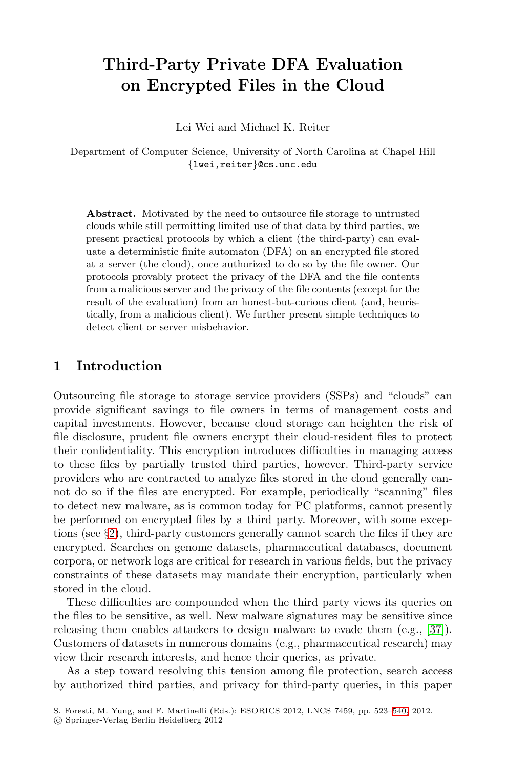# **Third-Party Private DFA Evaluation on Encrypted Files in the Cloud**

Lei Wei and Michael K. Reiter

<span id="page-0-0"></span>Department of Computer Science, University of North Carolina at Chapel Hill {lwei,reiter}@cs.unc.edu

**Abstract.** Motivated by the need to outsource file storage to untrusted clouds while still permitting limited use of that data by third parties, we present practical protocols by which a client (the third-party) can evaluate a deterministic finite automaton (DFA) on an encrypted file stored at a server (the cloud), once authorized to do so by the file owner. Our protocols provably protect the privacy of the DFA and the file contents from a malicious server and the privacy of the file contents (except for the result of the evaluation) from an honest-but-curious client (and, heuristically, from a malicious client). We further present simple techniques to detect client or server misbehavior.

# **1 Introduction**

Outsourcing file storage to storage service providers (SSPs) and "clouds" can provide significant savings to file owners in terms of management costs and capital investments. However, because cloud storage can heighten the risk of file disclosure, prudent file owners encrypt their cloud-resident files to protect their confidentiality. This encryption introduces difficulties in managing access to these files by partially trusted third parties, however. Third-party service providers who are contracted to analyze files stored in the cloud generally cannot do so if the files are encrypted. For example, periodically "scanning" files to detect new malware, as is common today for PC platforms, cannot presently be performed on encrypted files by a third party. More[over](#page-17-0), with some exceptions (see §2), third-party customers generally cannot search the files if they are encrypted. Searches on genome datasets, pharmaceutical databases, document corpora, or network logs are critical for research in various fields, but the privacy constraints of these datasets may mandate their encryption, particularly when stored in the cloud.

These difficulties are compounded when the t[hird](#page-17-1) party views its queries on the files to be sensitive, as well. New malware signatures may be sensitive since releasing them enables attackers to design malware to evade them (e.g., [37]). Customers of datasets in numerous domains (e.g., pharmaceutical research) may view their research interests, and hence their queries, as private.

As a step toward resolving this tension among file protection, search access by authorized third parties, and privacy for third-party queries, in this paper

S. Foresti, M. Yung, and F. Martinelli (Eds.): ESORICS 2012, LNCS 7459, pp. 523–540, 2012.

<sup>-</sup>c Springer-Verlag Berlin Heidelberg 2012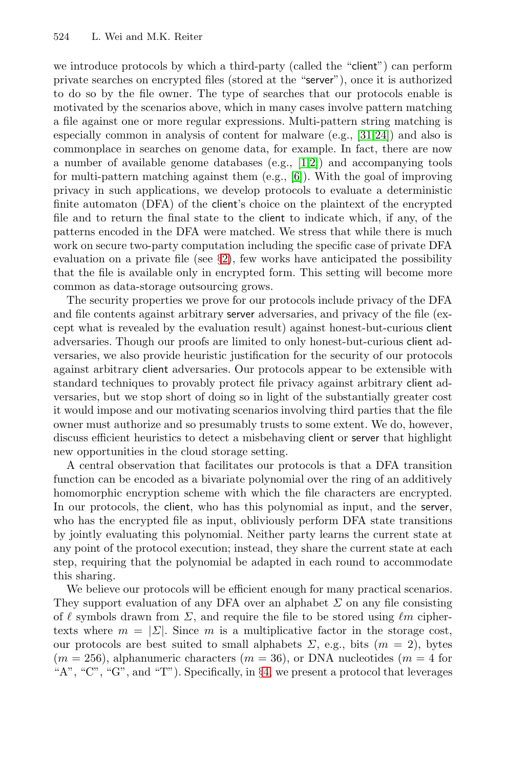we introduce protocols by wh[ich](#page-16-2) [a](#page-16-1) third-party (called the "client") can perform private searches on encrypted files (stored at the "server"), once it is authorized to do so by the file owner. The type of searches that our protocols enable is motivated by the scenarios above, which in many cases involve pattern matching a file against one or more regular expressions. Multi-pattern string matching is especially common in analysis of content for malware (e.g., [31,24]) and also is commonplace i[n](#page-2-0) searches on genome data, for example. In fact, there are now a number of available genome databases (e.g., [1,2]) and accompanying tools for multi-pattern matching against them (e.g., [6]). With the goal of improving privacy in such applications, we develop protocols to evaluate a deterministic finite automaton (DFA) of the client's choice on the plaintext of the encrypted file and to return the final state to the client to indicate which, if any, of the patterns encoded in the DFA were matched. We stress that while there is much work on secure two-party computation including the specific case of private DFA evaluation on a private file (see  $\S2$ ), few works have anticipated the possibility that the file is available only in encrypted form. This setting will become more common as data-storage outsourcing grows.

The security properties we prove for our protocols include privacy of the DFA and file contents against arbitrary server adversaries, and privacy of the file (except what is revealed by the evaluation result) against honest-but-curious client adversaries. Though our proofs are limited to only honest-but-curious client adversaries, we also provide heuristic justification for the security of our protocols against arbitrary client adversaries. Our protocols appear to be extensible with standard techniques to provably protect file privacy against arbitrary client adversaries, but we stop short of doing so in light of the substantially greater cost it would impose and our motivating scenarios involving third parties that the file owner must authorize and so presumably trusts to some extent. We do, however, discuss efficient heuristics to detect a misbehaving client or server that highlight new opportunities in the cloud storage setting.

A central observation that facilitates our protocols is that a DFA transition function can be encoded as a bivariate polynomial over the ring of an additively homomorphic encryption scheme with which the file characters are encrypted. In our protocols, the client, who has this polynomial as input, and the server, who has the encrypted file as input, obliviously perform DFA state transitions by jointly evaluating this polynomial. Neither party learns the current state at any point of the protocol execution; instead, they share the current state at each step, requiring that the [p](#page-4-0)olynomial be adapted in each round to accommodate this sharing.

We believe our protocols will be efficient enough for many practical scenarios. They support evaluation of any DFA over an alphabet  $\Sigma$  on any file consisting of  $\ell$  symbols drawn from  $\Sigma$ , and require the file to be stored using  $\ell m$  ciphertexts where  $m = |\Sigma|$ . Since m is a multiplicative factor in the storage cost, our protocols are best suited to small alphabets  $\Sigma$ , e.g., bits  $(m = 2)$ , bytes  $(m = 256)$ , alphanumeric characters  $(m = 36)$ , or DNA nucleotides  $(m = 4$  for "A", "C", "G", and "T"). Specifically, in §4, we present a protocol that leverages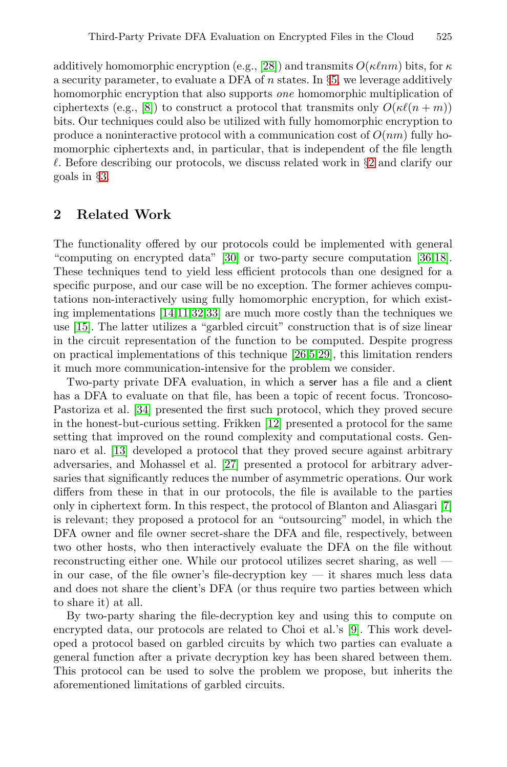<span id="page-2-0"></span>additively homomorphic encryption (e.g., [28][\)](#page-2-0) [a](#page-2-0)nd transmits  $O(\kappa \ell nm)$  bits, for  $\kappa$ a security parameter, to evaluate a DFA of n states. In §5, we leverage additively homomorphic encryption that also supports *one* homomorphic multiplication of ciphertexts (e.g., [8]) to construct a protocol that transmits only  $O(\kappa \ell(n+m))$ bits. Our techniques could also be utilized with fully homomorphic encryption to produce a noninteractive protocol with a communication cost of  $O(nm)$  fully homomorphic cip[hert](#page-17-2)exts and, in particular, that is inde[pen](#page-17-3)[den](#page-17-4)t of the file length  $\ell$ . Before describing our protocols, we discuss related work in §2 and clarify our goals in §3.

# **2 [R](#page-16-3)[el](#page-16-4)[at](#page-17-5)[ed](#page-17-6) Work**

The functionality offered by [our](#page-17-7) [p](#page-16-5)[rot](#page-17-8)ocols could be implemented with general "computing on encrypted data" [30] or two-party secure computation [36,18]. These techniques tend to yield less efficient protocols than one designed for a specific purpose, and our case will be no exception. The former achieves compu[ta](#page-17-9)tions non-interactively using fully homomorphic encryption, for which existing implementations  $[14,11,32,33]$  $[14,11,32,33]$  $[14,11,32,33]$  are much more costly than the techniques we use [15]. The latter utilizes a "garbled circuit" construction that is of size linear in the circuit representation of the function to be computed. Despite progress on practical im[plem](#page-17-10)entations of this technique [26,5,29], this limitation renders it much more communication-intensive for the problem we consider.

Two-party private DFA evaluation, in which a server has a file and a client has a DFA to evaluate on that file, has be[en](#page-16-7) a topic of recent focus. Troncoso-Pastoriza et al. [34] presented the first such protocol, which they proved secure in the honest-but-curious setting. Frikken [12] presented a protocol for the same setting that improved on the round complexity and computational costs. Gennaro et al. [13] developed a protocol that they proved secure against arbitrary adversaries, and Mohassel et al. [27] presented a protocol for arbitrary adversaries that significantly reduces the number of asymmetric operations. Our work differs from these in that in our protocols, the file is available to the parties only in ciphertext form. In this respect, the protocol of Blanton and Aliasgari [7] is relevant; they proposed a protocol for [an](#page-16-8) "outsourcing" model, in which the DFA owner and file owner secret-share the DFA and file, respectively, between two other hosts, who then interactively evaluate the DFA on the file without reconstructing either one. While our protocol utilizes secret sharing, as well in our case, of the file owner's file-decryption key — it shares much less data and does not share the client's DFA (or thus require two parties between which to share it) at all.

By two-party sharing the file-decryption key and using this to compute on encrypted data, our protocols are related to Choi et al.'s [9]. This work developed a protocol based on garbled circuits by which two parties can evaluate a general function after a private decryption key has been shared between them. This protocol can be used to solve the problem we propose, but inherits the aforementioned limitations of garbled circuits.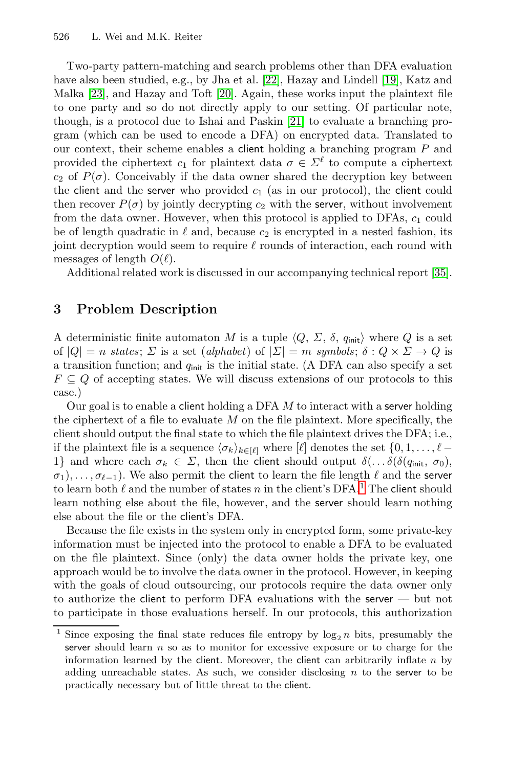<span id="page-3-1"></span>Two-party pattern-matching and search problems other than DFA evaluation have also been studied, e.g., by Jha et al. [22], Hazay and Lindell [19], Katz and Malka [23], and Hazay and Toft [20]. Again, these works input the plaintext file to one party and so do not directly apply to our setting. Of particular note, though, is a protocol due to Ishai and Paskin [21] to evaluate a branching program (which can be used to encode a DFA) on encrypted data. Translated to our context, their scheme enables a client holding a branching program  $P$  and provided the ciphertext  $c_1$  for plaintext data  $\sigma \in \Sigma^{\ell}$  to [com](#page-17-11)pute a ciphertext  $c_2$  of  $P(\sigma)$ . Conceivably if the data owner shared the decryption key between the client and the server who provided  $c_1$  (as in our protocol), the client could then recover  $P(\sigma)$  by jointly decrypting  $c_2$  with the server, without involvement from the data owner. However, when this protocol is applied to DFAs,  $c_1$  could be of length quadratic in  $\ell$  and, because  $c_2$  is encrypted in a nested fashion, its joint decryption would seem to require  $\ell$  rounds of interaction, each round with messages of length  $O(\ell)$ .

Additional related work is discussed in our accompanying technical report [35].

# **3 Problem Description**

A deterministic finite automaton M is a tuple  $\langle Q, \Sigma, \delta, q_{\text{init}} \rangle$  where Q is a set of  $|Q| = n$  *states*;  $\Sigma$  is a set (*alphabet*) of  $|\Sigma| = m$  *symbols*;  $\delta : Q \times \Sigma \rightarrow Q$  is a transition function; and  $q<sub>init</sub>$  is the initial state. (A DFA can also specify a set  $F \subseteq Q$  of accepting states. We will discu[ss](#page-3-0) extensions of our protocols to this case.)

<span id="page-3-0"></span>Our goal is to enable a client holding a DFA  $M$  to interact with a server holding the ciphertext of a file to evaluate  $M$  on the file plaintext. More specifically, the client should output the final state to which the file plaintext drives the DFA; i.e., if the plaintext file is a sequence  $\langle \sigma_k \rangle_{k \in [\ell]}$  where  $[\ell]$  denotes the set  $\{0, 1, \ldots, \ell - \}$ 1} and where each  $\sigma_k \in \Sigma$ , then the client should output  $\delta(\ldots \delta(\delta(q_{\text{init}}, \sigma_0)),$  $(\sigma_1), \ldots, \sigma_{\ell-1}).$  We also permit the client to learn the file length  $\ell$  and the server to learn both  $\ell$  and the number of states n in the client's DFA.<sup>1</sup> The client should learn nothing else about the file, however, and the server should learn nothing else about the file or the client's DFA.

Because the file exists in the system only in encrypted form, some private-key information must be injected into the protocol to enable a DFA to be evaluated on the file plaintext. Since (only) the data owner holds the private key, one approach would be to involve the data owner in the protocol. However, in keeping with the goals of cloud outsourcing, our protocols require the data owner only to authorize the client to perform DFA evaluations with the server — but not to participate in those evaluations herself. In our protocols, this authorization

Since exposing the final state reduces file entropy by  $\log_2 n$  bits, presumably the server should learn  $n$  so as to monitor for excessive exposure or to charge for the information learned by the client. Moreover, the client can arbitrarily inflate  $n$  by adding unreachable states. As such, we consider disclosing  $n$  to the server to be practically necessary but of little threat to the client.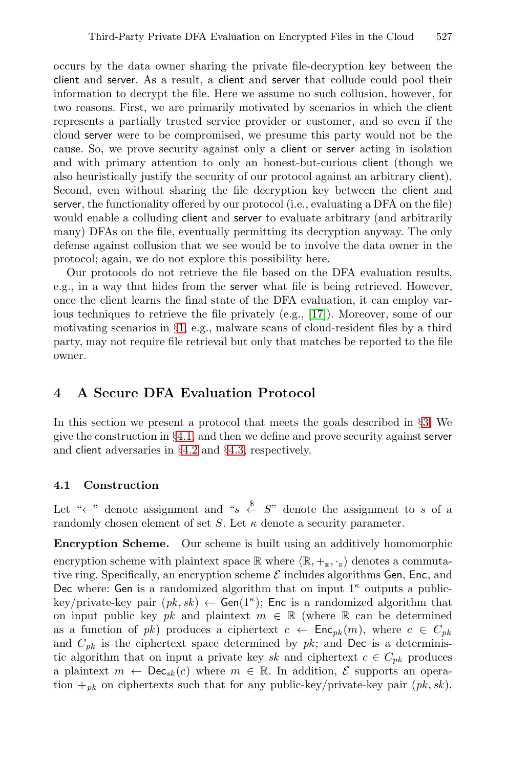occurs by the data owner sharing the private file-decryption key between the client and server. As a result, a client and server that collude could pool their information to decrypt the file. Here we assume no such collusion, however, for two reasons. First, we are primarily motivated by scenarios in which the client represents a partially trusted service provider or customer, and so even if the cloud server were to be compromised, we presume this party would not be the cause. So, we prove security against only a client or server acting in isolation and with primary attention to only an honest-but-curious client (though we also heuristically justify the security of our protocol against an arbitrary client). Second, even without sharing the file decryption key between the client and server, the functionality offered b[y ou](#page-16-9)r protocol (i.e., evaluating a DFA on the file) would [en](#page-0-0)able a colluding client and server to evaluate arbitrary (and arbitrarily many) DFAs on the file, eventually permitting its decryption anyway. The only defense against collusion that we see would be to involve the data owner in the protocol; again, we do not explore this possibility here.

<span id="page-4-1"></span><span id="page-4-0"></span>Our protocols do not retrieve the file based on the DFA evaluation results, e.g., in a way that hides from the server what file is being retrieved. However, once the client learns the final state of the DFA evaluation, it can employ various techniques to retrieve the file privately (e.g., [17])[. M](#page-3-1)oreover, some of our motiv[ating](#page-4-1) scenarios in §1, e.g., malware scans of cloud-resident files by a third party, [may](#page-7-0) not r[equi](#page-9-0)re file retrieval but only that matches be reported to the file owner.

# **4 A Secure DFA Evaluation Protocol**

In this section we present a protocol that meets the goals described in §3. We give the construction in §4.1, and then we define and prove security against server and client adversaries in §4.2 and §4.3, respectively.

#### **4.1 Construction**

Let " $\leftarrow$ " denote assignment and " $s \stackrel{\$}{\leftarrow} S$ " denote the assignment to s of a randomly chosen element of set S. Let  $\kappa$  denote a security parameter.

**Encryption Scheme.** Our scheme is built using an additively homomorphic

encryption scheme with plaintext space  $\mathbb R$  where  $\langle \mathbb R, +_{\mathbb R}, \cdot_{\mathbb R} \rangle$  denotes a commutative ring. Specifically, an encryption scheme  $\mathcal E$  includes algorithms Gen, Enc, and Dec where: Gen is a randomized algorithm that on input  $1^{\kappa}$  outputs a publickey/private-key pair  $(pk, sk) \leftarrow Gen(1^{\kappa})$ ; Enc is a randomized algorithm that on input public key *pk* and plaintext  $m \in \mathbb{R}$  (where  $\mathbb{R}$  can be determined as a function of *pk*) produces a ciphertext  $c \leftarrow \text{Enc}_{pk}(m)$ , where  $c \in C_{pk}$ and  $C_{pk}$  is the ciphertext space determined by  $pk$ ; and Dec is a deterministic algorithm that on input a private key *sk* and ciphertext  $c \in C_{pk}$  produces a plaintext  $m \leftarrow \mathsf{Dec}_{sk}(c)$  where  $m \in \mathbb{R}$ . In addition,  $\mathcal E$  supports an operation  $+_{pk}$  on ciphertexts such that for any public-key/private-key pair  $(pk, sk)$ ,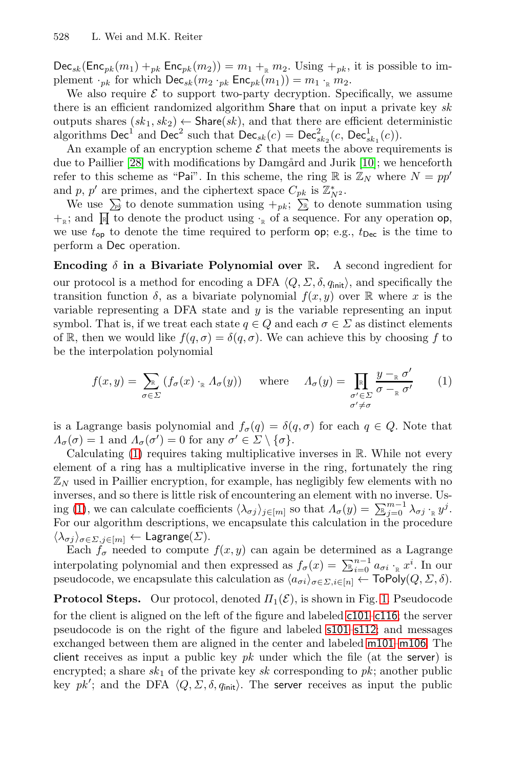$\textsf{Dec}_{sk}(\textsf{Enc}_{pk}(m_1) +_{pk} \textsf{Enc}_{pk}(m_2)) = m_1 +_{\mathbb{R}} m_2$  $\textsf{Dec}_{sk}(\textsf{Enc}_{pk}(m_1) +_{pk} \textsf{Enc}_{pk}(m_2)) = m_1 +_{\mathbb{R}} m_2$  $\textsf{Dec}_{sk}(\textsf{Enc}_{pk}(m_1) +_{pk} \textsf{Enc}_{pk}(m_2)) = m_1 +_{\mathbb{R}} m_2$ . Using  $+_{pk}$ , it is possible to implement  $\cdot_{pk}$  for which  $\textsf{Dec}_{sk}(m_2 \cdot_{pk} \textsf{Enc}_{pk}(m_1)) = m_1 \cdot_{\mathbb{R}} m_2$ .

We also require  $\mathcal E$  to support two-party decryption. Specifically, we assume there is an efficient randomized algorithm Share that on input a private key *sk* outputs shares  $(sk_1, sk_2) \leftarrow$  Share $(sk)$ , and that there are efficient deterministic algorithms  $\textsf{Dec}^1$  and  $\textsf{Dec}^2$  such that  $\textsf{Dec}_{sk}(c) = \textsf{Dec}^2_{sk_2}(c, \textsf{Dec}^1_{sk_1}(c)).$ 

An example of an encryption scheme  $\mathcal E$  that meets the above requirements is due to Paillier  $[28]$  with modifications by Damgård and Jurik  $[10]$ ; we henceforth refer to this scheme as "Pai". In this scheme, the ring R is  $\mathbb{Z}_N$  where  $N = pp'$ and p, p' are primes, and the ciphertext space  $C_{pk}$  is  $\mathbb{Z}_{N^2}^*$ .

We use  $\sum_{k}$  to denote summation using  $+_{pk}$ ;  $\sum_{k}$  to denote summation using  $+_{\mathbb{R}}$ ; and  $\mathbb{\overline{R}}$  to denote the product using  $\cdot_{\mathbb{R}}$  of a sequence. For any operation op, we use  $t_{op}$  to denote the time required to perform op; e.g.,  $t_{Dec}$  is the time to perform a Dec operation.

**Encoding**  $\delta$  **in a Bivariate Polynomial over R.** A second ingredient for our protocol is a method for encoding a DFA  $\langle Q, \Sigma, \delta, q_{\text{init}} \rangle$ , and specifically the transition function  $\delta$ , as a bivariate polynomial  $f(x, y)$  over R where x is the variable representing a DFA state and  $y$  is the variable representing an input symbol. That is, if we treat each state  $q \in Q$  and each  $\sigma \in \Sigma$  as distinct elements of R, then we would like  $f(q, \sigma) = \delta(q, \sigma)$ . We can achieve this by choosing f to be the interpolation polynomial

$$
f(x,y) = \sum_{\sigma \in \Sigma} (f_{\sigma}(x) \cdot_{\mathbb{R}} A_{\sigma}(y)) \quad \text{where} \quad A_{\sigma}(y) = \prod_{\substack{\sigma' \in \Sigma \\ \sigma' \neq \sigma}} \frac{y -_{\mathbb{R}} \sigma'}{\sigma -_{\mathbb{R}} \sigma'} \qquad (1)
$$

is a Lagrange basis polynomial and  $f_{\sigma}(q) = \delta(q, \sigma)$  for each  $q \in Q$ . Note that  $\Lambda_{\sigma}(\sigma) = 1$  and  $\Lambda_{\sigma}(\sigma') = 0$  for any  $\sigma' \in \Sigma \setminus {\sigma}.$ 

Calculating (1) requires taking multiplicative inverses in R. While not every element of a ring has a multiplicative inverse in the ring, fortunately the ring  $\mathbb{Z}_N$  used in Paillier encryption, for example, has negligibly few elements with no inverses, and so there is little risk of encounterin[g a](#page-6-0)n element with no inverse. Using (1), we can calculate coefficients  $\langle \lambda_{\sigma j} \rangle_{j \in [m]}$  [so t](#page-6-2)hat  $\Lambda_{\sigma}(y) = \sum_{j=0}^{m-1} \lambda_{\sigma j} \cdot_{\mathbb{R}} y^j$ . For our algorithm descriptions, we e[ncaps](#page-6-3)[ulate](#page-6-4) this calculation in the procedure  $\langle \lambda_{\sigma j} \rangle_{\sigma \in \Sigma, j \in [m]} \leftarrow \mathsf{Lagrange}(\Sigma).$ 

Each  $f_{\sigma}$  needed to compute  $f(x, y)$  can again be determined as a Lagrange interpolating polynomial and then expressed as  $f_{\sigma}(x) = \sum_{i=0}^{n-1} a_{\sigma i} \cdot_R x^i$ . In our pseudocode, we encapsulate this calculation as  $\langle a_{\sigma i} \rangle_{\sigma \in \Sigma, i \in [n]}$  ← ToPoly $(Q, \Sigma, \delta)$ .

**Protocol Steps.** Our protocol, denoted  $\Pi_1(\mathcal{E})$ , is shown in Fig. 1. Pseudocode for the client is aligned on the left of the figure and labeled c101–c116; the server pseudocode is on the right of the figure and labeled s101–s112; and messages exchanged between them are aligned in the center and labeled m101–m106. The client receives as input a public key *pk* under which the file (at the server) is encrypted; a share  $sk_1$  of the private key  $sk$  corresponding to  $pk$ ; another public key  $pk'$ ; and the DFA  $\langle Q, \Sigma, \delta, q_{\text{init}} \rangle$ . The server receives as input the public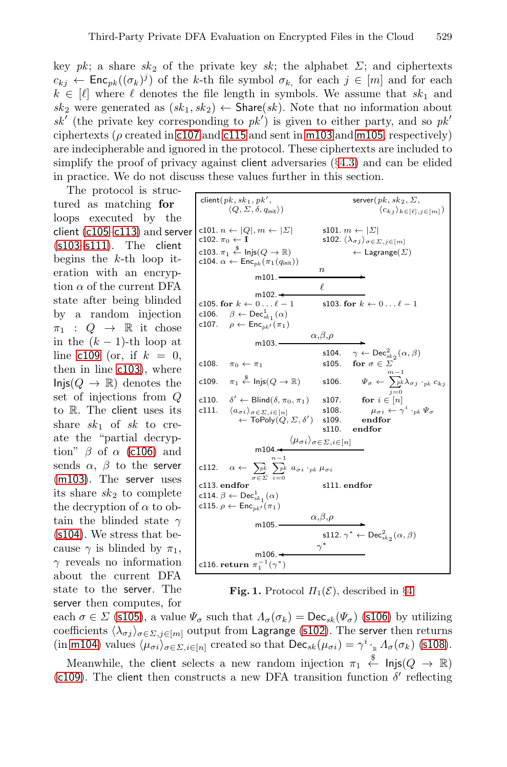<span id="page-6-1"></span>k[ey](#page-9-0)  $pk$ ; a share  $sk_2$  of the private key  $sk$ ; the alphabet  $\Sigma$ ; and ciphertexts  $c_{kj} \leftarrow \mathsf{Enc}_{pk}((\sigma_k)^j)$  of the k-th file symbol  $\sigma_{k,j}$  for each  $j \in [m]$  and for each  $k \in [\ell]$  where  $\ell$  denotes the file length in symbols. We assume that  $sk_1$  and  $sk_2$  were generated as  $(sk_1, sk_2) \leftarrow$  Share(*sk*). Note that no information about  $sk'$  (the private key corresponding to  $pk'$ ) is given to either party, and so  $pk'$ ciphertexts ( $\rho$  created in c107 and c115 and sent in m103 and m105, respectively) are indecipherable and ignored in the protocol. These ciphertexts are included to simplify the proof of privacy against client adversaries (§4.3) and can be elided in practice. We do not discuss these values further in this section.

The protocol is structured as matching **for** loops executed by the client (c105–c113) and server  $(s103–s111)$ . The client begins the  $k$ -th loop iteration with an encryption  $\alpha$  of the current DFA state after being blinded by a random injection  $\pi_1$  :  $Q \rightarrow \mathbb{R}$  it chose [in](#page-6-9) the  $(k-1)$ -th loop at line c109 (or, if  $k = 0$ , then in line c103), where  $\textsf{Injs}(Q \to \mathbb{R})$  denotes the set of injections from Q to R. The client uses its share  $sk_1$  of  $sk$  to create the "partial decryption"  $\beta$  of  $\alpha$  (c106) and sends  $\alpha$ ,  $\beta$  to the server (m103). The server uses its share  $sk_2$  to complete the decryption of  $\alpha$  to obtain the blinded state  $\gamma$ (s104). We stress that because  $\gamma$  is blinded by  $\pi_1$ ,  $\gamma$  reveals no information about the current DFA state to the server. The server then computes, for

<span id="page-6-15"></span><span id="page-6-14"></span><span id="page-6-13"></span><span id="page-6-12"></span><span id="page-6-11"></span><span id="page-6-10"></span><span id="page-6-9"></span><span id="page-6-8"></span><span id="page-6-7"></span><span id="page-6-6"></span><span id="page-6-5"></span><span id="page-6-4"></span><span id="page-6-3"></span><span id="page-6-2"></span>

<span id="page-6-0"></span>**Fig. 1.** Protocol  $\Pi_1(\mathcal{E})$ , described in §4

each  $\sigma \in \Sigma$  (s105), a value  $\Psi_{\sigma}$  such that  $\Lambda_{\sigma}(\sigma_k) = \text{Dec}_{sk}(\Psi_{\sigma})$  (s106) by utilizing coefficients  $\langle \lambda_{\sigma j} \rangle_{\sigma \in \Sigma, j \in [m]}$  output from Lagrange (s102). The server then returns (in m104) values  $\langle \mu_{\sigma i} \rangle_{\sigma \in \Sigma, i \in [n]}$  created so that  $\text{Dec}_{sk}(\mu_{\sigma i}) = \gamma^i \cdot_R \Lambda_{\sigma}(\sigma_k)$  (s108).

Meanwhile, the client selects a new random injection  $\pi_1 \stackrel{\$}{\leftarrow}$  Injs $(Q \rightarrow \mathbb{R})$ (c109). The client then constructs a new DFA transition function  $\delta'$  reflecting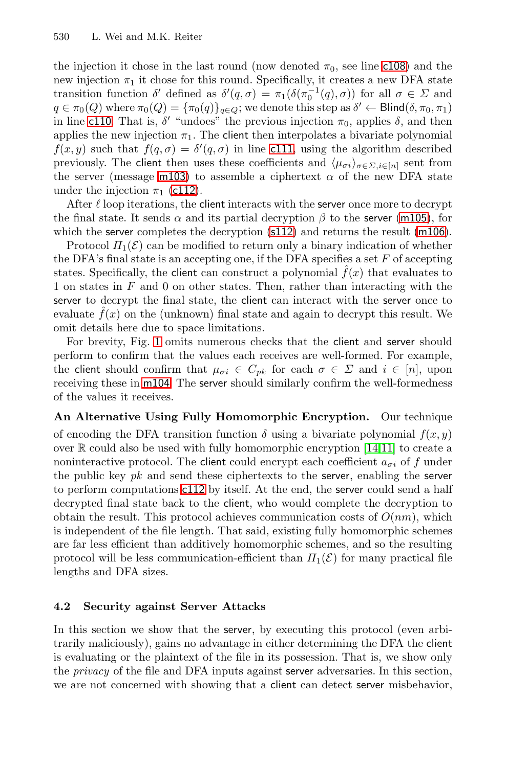th[e inject](#page-6-7)ion it chose in the last round (now denoted  $\pi_0$ , see line c108) and the new i[njecti](#page-6-13)on  $\pi_1$  it chose for this round. Specifically, it creates a new DFA state transition function  $\delta'$  defined as  $\delta'(q,\sigma) = \pi_1(\delta(\pi_0^{-1}(q),\sigma))$  for all  $\sigma \in \Sigma$  and  $q \in \pi_0(Q)$  where  $\pi_0(Q) = {\pi_0(q)}_{q \in Q}$ ; we denote th[is step](#page-6-8) as  $\delta' \leftarrow \text{Blind}(\delta, \pi_0, \pi_1)$ in line c110. That is,  $\delta'$  ["undo](#page-6-4)es" the previous injection  $\pi_0$ , applies  $\delta$ , and then applies the new injection  $\pi_1$ . The client then interpolates a bivariate polynomial  $f(x, y)$  such that  $f(q, \sigma) = \delta'(q, \sigma)$  in line c111, using the algorithm described previously. The client then uses these coefficients and  $\langle \mu_{\sigma i} \rangle_{\sigma \in \Sigma, i \in [n]}$  sent from the server (message m103) to assemble a ciphertext  $\alpha$  of the new DFA state under the injection  $\pi_1$  (c112).

After  $\ell$  loop iterations, the client interacts with the server once more to decrypt the final state. It sends  $\alpha$  and its partial decryption  $\beta$  to the server (m105), for w[hic](#page-6-0)h the server completes the decryption (s112) and returns the result (m106).

Protocol  $\Pi_1(\mathcal{E})$  can be modified to return only a binary indication of whether the DFA's final state is an accepting one, if the DFA specifies a set  $F$  of accepting [states](#page-6-15). Specifically, the client can construct a polynomial  $\hat{f}(x)$  that evaluates to 1 on states in F and 0 on other states. Then, rather than interacting with the server to decrypt the final state, the client can interact with the server once to evaluate  $\hat{f}(x)$  on the (unknown) final state and again to decrypt this result. We omit details here due to space limitations.

For brevity, Fig. 1 omits numerous chec[ks t](#page-16-3)[hat](#page-16-4) the client and server should perform to confirm that the values each receives are well-formed. For example, the client should confirm that  $\mu_{\sigma i} \in C_{pk}$  for each  $\sigma \in \Sigma$  and  $i \in [n]$ , upon receivi[ng the](#page-6-13)se in m104. The server should similarly confirm the well-formedness of the values it receives.

<span id="page-7-0"></span>**An Alternative Using Fully Homomorphic Encryption.** Our technique

of encoding the DFA transition function  $\delta$  using a bivariate polynomial  $f(x, y)$ over  $\mathbb R$  could also be used with fully homomorphic encryption [14,11] to create a noninteractive protocol. The client could encrypt each coefficient  $a_{\sigma i}$  of f under the public key *pk* and send these ciphertexts to the server, enabling the server to perform computations c112 by itself. At the end, the server could send a half decrypted final state back to the client, who would complete the decryption to obtain the result. This protocol achieves communication costs of  $O(nm)$ , which is independent of the file length. That said, existing fully homomorphic schemes are far less efficient than additively homomorphic schemes, and so the resulting protocol will be less communication-efficient than  $\Pi_1(\mathcal{E})$  for many practical file lengths and DFA sizes.

### **4.2 Security against Server Attacks**

In this section we show that the server, by executing this protocol (even arbitrarily maliciously), gains no advantage in either determining the DFA the client is evaluating or the plaintext of the file in its possession. That is, we show only the *privacy* of the file and DFA inputs against server adversaries. In this section, we are not concerned with showing that a client can detect server misbehavior,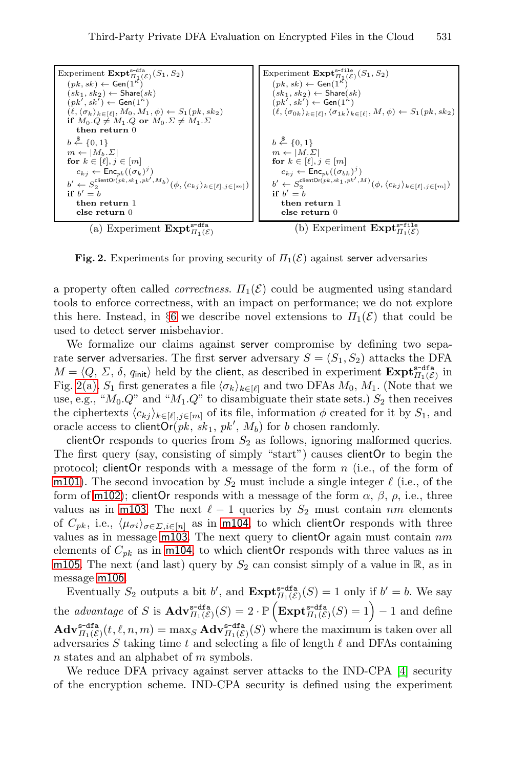<span id="page-8-0"></span>

**Fig. 2.** Experiments for proving security of  $\Pi_1(\mathcal{E})$  against server adversaries

a property often called *correctness.*  $\Pi_1(\mathcal{E})$  could be augmented using standard tools to enforce correctness, with an impact on performance; we do not explore this here. Instead, in §6 we describe novel extensions to  $\Pi_1(\mathcal{E})$  that could be used to detect server misbehavior.

We formalize our claims against server compromise by defining two separate server adversaries. The first server adversary  $S = (S_1, S_2)$  attacks the DFA  $M = \langle Q, \Sigma, \delta, q_{\text{init}} \rangle$  held by the client, as described in experiment  $\text{Expt}_{H_1(\mathcal{E})}^{\text{s-dfa}}$  in Fig. 2(a).  $S_1$  first generates a file  $\langle \sigma_k \rangle_{k \in [\ell]}$  and two DFAs  $M_0$ ,  $M_1$ . (Note that we [u](#page-6-7)se, e.g., " $M_0 \, Q$ " and " $M_1 \, Q$ " to disambiguate their state sets.)  $S_2$  then receives the ciphertexts  $\langle c_{kj} \rangle_{k \in [\ell], j \in [m]}$  $\langle c_{kj} \rangle_{k \in [\ell], j \in [m]}$  $\langle c_{kj} \rangle_{k \in [\ell], j \in [m]}$  of its file, information  $\phi$  created for it by  $S_1$ , and ora[cle acc](#page-6-7)ess to client $\overline{Or}(pk, sk_1, pk', M_b)$  for b chosen randomly.

c[lientOr](#page-6-15) responds to queries from  $S_2$  as follows, ignoring malformed queries. The first query (say, consisting of simply "start") causes clientOr to begin the protocol; clientOr responds with a message of the form  $n$  (i.e., of the form of m101). The second invocation by  $S_2$  must include a single integer  $\ell$  (i.e., of the form of m102); clientOr responds with a message of the form  $\alpha$ ,  $\beta$ ,  $\rho$ , i.e., three values as in m103. The next  $\ell - 1$  queries by  $S_2$  must contain nm elements of  $C_{pk}$ , i.e.,  $\langle \mu_{\sigma i} \rangle_{\sigma \in \Sigma, i \in [n]}$  as in m104, to which clientOr responds with three values as in message m103. The next query to clientOr again must contain  $nm$ elements of  $C_{pk}$  as in m104, to which clientOr responds with three values as in m105. The next (and last) query by  $S_2$  can consist [si](#page-16-11)mply of a value in  $\mathbb{R}$ , as in message m106.

Eventually  $S_2$  outputs a bit b', and  $\text{Expt}_{\Pi_1(\mathcal{E})}^{s-\text{dfa}}(S) = 1$  only if  $b' = b$ . We say the *advantage* of S is  $\mathbf{Adv}_{\Pi_1(\mathcal{E})}^{\mathbf{s}\text{-dfa}}(S)=2 \cdot \mathbb{P}\left(\mathbf{Expt}_{\Pi_1(\mathcal{E})}^{\mathbf{s}\text{-dfa}}(S)=1\right)-1$  and define  $\mathbf{Adv}_{\Pi_1(\mathcal{E})}^{\mathbf{s}\text{-dfa}}(t,\ell,n,m) = \max_{S} \mathbf{Adv}_{\Pi_1(\mathcal{E})}^{\mathbf{s}\text{-dfa}}(S)$  where the maximum is taken over all adversaries S taking time t and selecting a file of length  $\ell$  and DFAs containing n states and an alphabet of m symbols.

We reduce DFA privacy against server attacks to the IND-CPA [4] security of the encryption scheme. IND-CPA security is defined using the experiment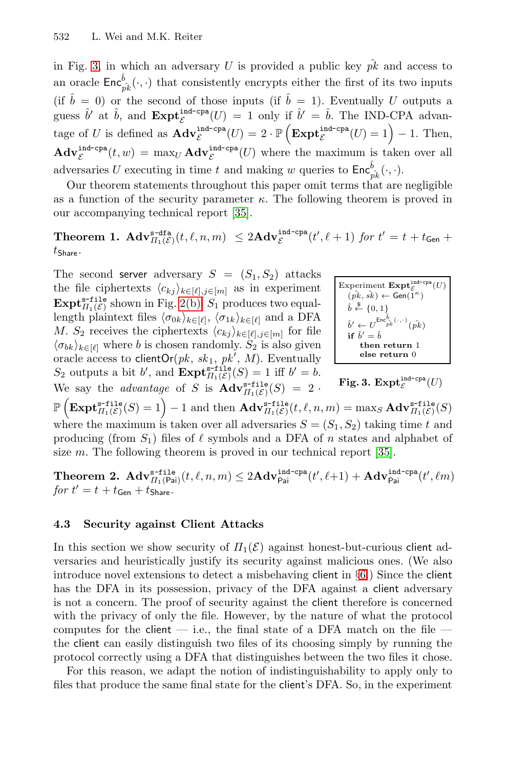<span id="page-9-1"></span>in Fig. 3, in which an adversary U is provided a public key  $\hat{pk}$  and access to an oracle  $\mathsf{Enc}^{\hat{b}}_{\hat{p}\hat{k}}(\cdot,\cdot)$  that consistently encrypts either the first of its two inputs (if  $\hat{b} = 0$ ) or the [sec](#page-17-11)ond of those inputs (if  $\hat{b} = 1$ ). Eventually U outputs a guess  $\hat{b}'$  at  $\hat{b}$ , and  $\text{Expt}_{\mathcal{E}}^{\text{ind-cpa}}(U) = 1$  only if  $\hat{b}' = \hat{b}$ . The IND-CPA advantage of U is defined as  $\mathbf{Adv}_{\mathcal{E}}^{\mathbf{ind-cpa}}(U)=2 \cdot \mathbb{P}\left(\mathbf{Expt}_{\mathcal{E}}^{\mathbf{ind-cpa}}(U)=1\right)-1$ . Then,  $\mathbf{Adv}_{\mathcal{E}}^{\mathbf{ind-cpa}}(t, w) = \max_{U} \mathbf{Adv}_{\mathcal{E}}^{\mathbf{ind-cpa}}(U)$  where the maximum is taken over all adversaries U executing in time t and making w queries to  $\mathsf{Enc}^{\hat{b}}_{\hat{p}\hat{k}}(\cdot,\cdot)$ .

Our theorem statements throughout this paper omit terms that are negligible as a fu[nctio](#page-8-0)n of the security parameter  $\kappa$ . The following theorem is proved in our accompanying technical report [35].

**Theorem 1.**  $\mathbf{Adv}_{\Pi_1(\mathcal{E})}^{\mathbf{s}\text{-dfa}}(t,\ell,n,m) \leq 2\mathbf{Adv}_{\mathcal{E}}^{\mathbf{ind}\text{-cpa}}(t',\ell+1)$  *for*  $t'=t+t_{\mathsf{Gen}}+$ tShare*.*

<span id="page-9-0"></span>The second server adversary  $S = (S_1, S_2)$  attacks the file ciphertexts  $\langle c_{kj} \rangle_{k \in [\ell], j \in [m]}$  as in experiment **Expt**<sup>s-file</sup> shown in Fig. 2(b). S<sub>1</sub> produces two equallength plaintext files  $\langle \sigma_{0k} \rangle_{k \in [\ell]}, \langle \sigma_{1k} \rangle_{k \in [\ell]}$  and a DFA M. S<sub>2</sub> receives the ciphertexts  $\langle c_{kj} \rangle_{k \in [\ell], j \in [m]}$  for file  $\langle \sigma_{bk} \rangle_{k \in [\ell]}$  where b is chosen randomly.  $S_2$  is als[o gi](#page-17-11)ven oracle access to client $Or(pk, sk_1, pk', M)$ . Eventually S<sub>2</sub> outputs a bit b', and  $\text{Expt}_{\Pi_1(\mathcal{E})}^{s+\text{file}}(S) = 1$  iff  $b' = b$ . We say the *advantage* of S is  $\mathbf{Adv}_{\Pi_1(\mathcal{E})}^{\mathbf{s}\text{-file}}(S)=2$ .



Fig. 3.  $\mathrm{Expt}_{\mathcal{E}}^{\mathrm{ind-cpa}}(U)$ 

 $\mathbb{P}\left(\mathbf{Expt}_{\Pi_1(\mathcal{E})}^{\mathbf{s}\text{-file}}(S)=1\right)-1$  and then  $\mathbf{Adv}_{\Pi_1(\mathcal{E})}^{\mathbf{s}\text{-file}}(t,\ell,n,m)=\max_S \mathbf{Adv}_{\Pi_1(\mathcal{E})}^{\mathbf{s}\text{-file}}(S)$ where the maximum is taken over all adversaries  $S = (S_1, S_2)$  taking time t and producing (from  $S_1$ ) files of  $\ell$  symbols and a DFA of n states and alphabet of size  $m$ . The following theorem is proved in our technical report [35].

 $\textbf{Theorem 2.}~~\textbf{Adv}_{H_1(\text{Pai})}^{\textbf{s-file}}(t,\ell,n,m) \leq 2\textbf{Adv}_{\text{Pai}}^{\text{ind-cpa}}(t',\ell+1) + \textbf{Adv}_{\text{Pai}}^{\text{ind-cpa}}(t',\ell m)$  $\textbf{Theorem 2.}~~\textbf{Adv}_{H_1(\text{Pai})}^{\textbf{s-file}}(t,\ell,n,m) \leq 2\textbf{Adv}_{\text{Pai}}^{\text{ind-cpa}}(t',\ell+1) + \textbf{Adv}_{\text{Pai}}^{\text{ind-cpa}}(t',\ell m)$  $\textbf{Theorem 2.}~~\textbf{Adv}_{H_1(\text{Pai})}^{\textbf{s-file}}(t,\ell,n,m) \leq 2\textbf{Adv}_{\text{Pai}}^{\text{ind-cpa}}(t',\ell+1) + \textbf{Adv}_{\text{Pai}}^{\text{ind-cpa}}(t',\ell m)$ *for*  $t' = t + t_{Gen} + t_{Share}$ .

### **4.3 Security against Client Attacks**

In this section we show security of  $\Pi_1(\mathcal{E})$  against honest-but-curious client adversaries and heuristically justify its security against malicious ones. (We also introduce novel extensions to detect a misbehaving client in §6.) Since the client has the DFA in its possession, privacy of the DFA against a client adversary is not a concern. The proof of security against the client therefore is concerned with the privacy of only the file. However, by the nature of what the protocol computes for the client  $-$  i.e., the final state of a DFA match on the file  $$ the client can easily distinguish two files of its choosing simply by running the protocol correctly using a DFA that distinguishes between the two files it chose.

For this reason, we adapt the notion of indistinguishability to apply only to files that produce the same final state for the client's DFA. So, in the experiment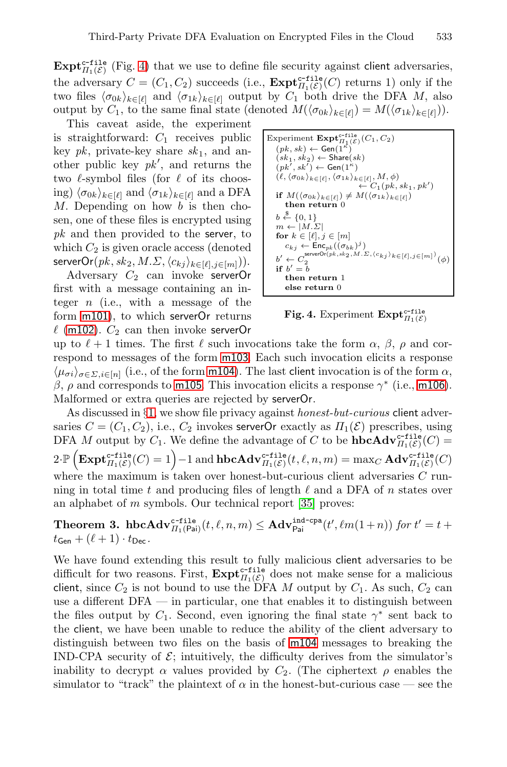**Expt**<sup>c-file</sup> (Fig. 4) that we use to define file security against client adversaries, the adversary  $C = (C_1, C_2)$  succeeds (i.e.,  $\text{Expt}_{\Pi_1(\mathcal{E})}^{\text{c-file}}(C)$  returns 1) only if the two files  $\langle \sigma_{0k} \rangle_{k \in [\ell]}$  and  $\langle \sigma_{1k} \rangle_{k \in [\ell]}$  output by  $C_1$  both drive the DFA M, also output by  $C_1$ , to the same final state (denoted  $M(\langle \sigma_{0k} \rangle_{k \in [\ell]} ) = M(\langle \sigma_{1k} \rangle_{k \in [\ell]}).$ 

This caveat aside, the experiment is straightforward:  $C_1$  receives public key  $pk$ , private-key share  $sk_1$ , and another public key  $pk'$ , and returns the two  $\ell$ -symbol files (for  $\ell$  of its choosing)  $\langle \sigma_{0k} \rangle_{k \in [\ell]}$  and  $\langle \sigma_{1k} \rangle_{k \in [\ell]}$  and a DFA  $M$ . Depending on how  $b$  is then chosen, one of these files is encrypted using *pk* and then provided to the server, to which  $C_2$  is giv[en orac](#page-6-7)le access (denoted  $\mathsf{serverOr}(pk, sk_2, M.\varSigma, \langle c_{kj}\rangle_{k\in[\ell], j\in[m]})).$  $\mathsf{serverOr}(pk, sk_2, M.\varSigma, \langle c_{kj}\rangle_{k\in[\ell], j\in[m]})).$  $\mathsf{serverOr}(pk, sk_2, M.\varSigma, \langle c_{kj}\rangle_{k\in[\ell], j\in[m]})).$ 

<span id="page-10-0"></span>Ad[versary](#page-6-8)  $C_2$  can invoke serverOr first with a message containing an in[teg](#page-0-0)er  $n$  (i.e., with a message of the form m101), to which serverOr returns  $\ell$  (m102).  $C_2$  can then invoke serverOr

Experiment 
$$
\text{Experiment}\left\{\n \begin{aligned}\n &\text{Experiment } \mathbf{Expt}_{\Pi_1^1(\mathcal{E})}^{*}(\mathcal{C}_1, \mathcal{C}_2) \\
&\quad (pk, sk) \leftarrow \text{Gen}(1^k) \\
&\quad (sk_1, sk_2) \leftarrow \text{Share}(sk) \\
&\quad (pk', sk') \leftarrow \text{Gen}(1^k) \\
&\quad (\ell, \langle \sigma_{0k} \rangle_k \in [\ell], \langle \sigma_{1k} \rangle_k \in [\ell], M, \phi) \\
&\quad \text{if } M(\langle \sigma_{0k} \rangle_k \in [\ell]) \neq M(\langle \sigma_{1k} \rangle_k \in [\ell]) \\
&\quad \text{then return } 0 \\
&\quad b \stackrel{\$}{\leftarrow} \{0, 1\} \\
&\quad m \leftarrow [M, \Sigma] \\
&\quad \text{for } k \in [\ell], j \in [m] \\
&\quad c_{kj} \leftarrow \text{Enc}_{pk}((\sigma_{bk})^j) \\
&\quad b' \leftarrow C_2 \\
&\quad \text{if } b' = b \\
&\quad \text{then return } 1 \\
&\quad \text{else return } 0\n \end{aligned}\n \right)
$$

**Fig. 4.** Experiment  $\textbf{Expt}^{\text{c-file}}_{\Pi_1(\mathcal{E})}$ 

up to  $\ell + 1$  times. The first  $\ell$  such invocations take the form  $\alpha$ ,  $\beta$ ,  $\rho$  and correspond to messages of the form m103. Each such invocation elicits a response  $\langle \mu_{\sigma i} \rangle_{\sigma \in \Sigma}$  i∈[n] (i.e., of the form m104). The last client invocation is of the form  $\alpha$ , β, ρ and corresponds to m105. This invocation elicits a response  $\gamma^*$  (i.e., m106). Malformed or extra queries are [rej](#page-17-11)ected by serverOr.

As discussed in §1, we show file privacy against *honest-but-curious* client adversaries  $C = (C_1, C_2)$ , i.e.,  $C_2$  invokes serverOr exactly as  $\Pi_1(\mathcal{E})$  prescribes, using DFA M output by  $C_1$ . We define the advantage of C to be **hbcAdv** $T_{\Pi_1(\mathcal{E})}(C)$  =  $2 \cdot \mathbb{P}\left(\mathbf{Expt}_{\Pi_1(\mathcal{E})}^{\mathsf{c}\text{-file}}(C)=1\right) - 1$  and  $\mathbf{hbcAdv}_{\Pi_1(\mathcal{E})}^{\mathsf{c}\text{-file}}(t,\ell,n,m) = \max_C \mathbf{Adv}_{\Pi_1(\mathcal{E})}^{\mathsf{c}\text{-file}}(C)$ where the maximum is taken over honest-but-curious client adversaries  $C$  running in total time t and producing files of length  $\ell$  and a DFA of n states over an alphabet of m symbols. Our technical report [35] proves:

**Theorem 3.**  $\textbf{hbcAdv}_{H_1(\textbf{Pai})}^{\text{c-file}}(t, \ell, n, m) \leq \textbf{Adv}_{\textbf{Pai}}^{\text{ind-cpa}}(t', \ell m(1+n))$  $\textbf{hbcAdv}_{H_1(\textbf{Pai})}^{\text{c-file}}(t, \ell, n, m) \leq \textbf{Adv}_{\textbf{Pai}}^{\text{ind-cpa}}(t', \ell m(1+n))$  $\textbf{hbcAdv}_{H_1(\textbf{Pai})}^{\text{c-file}}(t, \ell, n, m) \leq \textbf{Adv}_{\textbf{Pai}}^{\text{ind-cpa}}(t', \ell m(1+n))$  *for*  $t' = t +$  $t_{Gen} + (\ell + 1) \cdot t_{Dec}$ .

We have found extending this result to fully malicious client adversaries to be difficult for two reasons. First,  $\text{Expt}_{\Pi_1(\mathcal{E})}^{\text{c-file}}$  does not make sense for a malicious client, since  $C_2$  is not bound to use the DFA M output by  $C_1$ . As such,  $C_2$  can use a different DFA — in particular, one that enables it to distinguish between the files output by  $C_1$ . Second, even ignoring the final state  $\gamma^*$  sent back to the client, we have been unable to reduce the ability of the client adversary to distinguish between two files on the basis of m104 messages to breaking the IND-CPA security of  $\mathcal{E}$ ; intuitively, the difficulty derives from the simulator's inability to decrypt  $\alpha$  values provided by  $C_2$ . (The ciphertext  $\rho$  enables the simulator to "track" the plaintext of  $\alpha$  in the honest-but-curious case — see the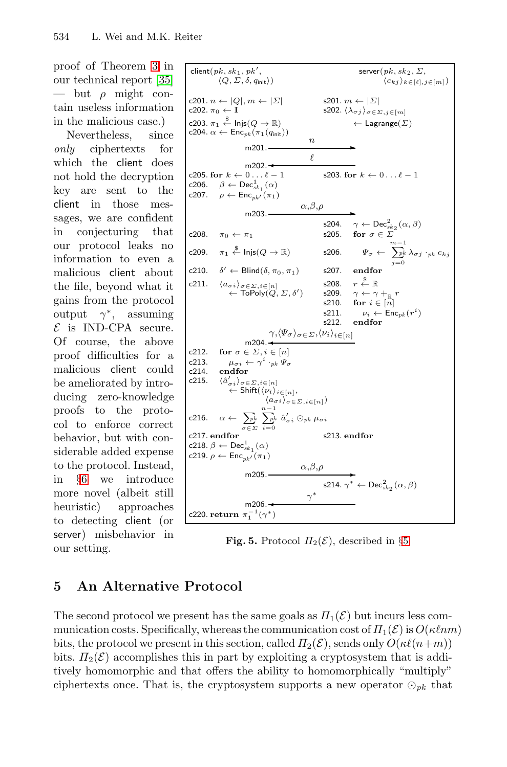proof of Theorem 3 in our technical report [35] — but  $\rho$  might contain useless information in the malicious case.)

Nevertheless, since *only* ciphertexts for which the client does not hold the decryption key are sent to the client in those messages, we are confident in conjecturing that our protocol leaks no information to even a malicious client about the file, beyond what it gains from the protocol output  $\gamma^*$ , assuming  $E$  is IND-CPA secure. Of course, the above proof difficulties for a malicious client could be ameliorated by introducing zero-knowledge proofs to the protocol to enforce correct behavior, but with considerable added expense to the protocol. Instead, in §6 we introduce more novel (albeit still heuristic) approaches to detecting client (or server) misbehavior in our setting.

<span id="page-11-9"></span><span id="page-11-8"></span><span id="page-11-7"></span><span id="page-11-6"></span><span id="page-11-5"></span><span id="page-11-4"></span><span id="page-11-3"></span><span id="page-11-2"></span><span id="page-11-1"></span><span id="page-11-0"></span>

**Fig. 5.** Protocol  $\Pi_2(\mathcal{E})$ , described in §5

# **5 An Alternative Protocol**

The second protocol we present has the same goals as  $\Pi_1(\mathcal{E})$  but incurs less communication costs. Specifically, whereas the communication cost of  $\Pi_1(\mathcal{E})$  is  $O(\kappa\ell nm)$ bits, the protocol we present in this section, called  $\Pi_2(\mathcal{E})$ , sends only  $O(\kappa \ell(n+m))$ bits.  $\Pi_2(\mathcal{E})$  accomplishes this in part by exploiting a cryptosystem that is additively homomorphic and that offers the ability to homomorphically "multiply" ciphertexts once. That is, the cryptosystem supports a new operator  $\odot_{pk}$  that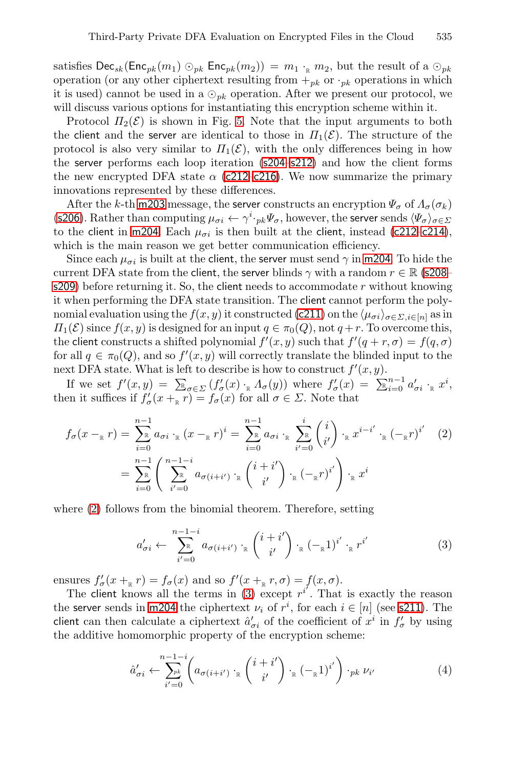satisfies  $\textsf{Dec}_{sk}(\textsf{Enc}_{pk}(m_1) \odot_{pk} \textsf{Enc}_{pk}(m_2)) = m_1 \cdot_R m_2$  $\textsf{Dec}_{sk}(\textsf{Enc}_{pk}(m_1) \odot_{pk} \textsf{Enc}_{pk}(m_2)) = m_1 \cdot_R m_2$  $\textsf{Dec}_{sk}(\textsf{Enc}_{pk}(m_1) \odot_{pk} \textsf{Enc}_{pk}(m_2)) = m_1 \cdot_R m_2$  $\textsf{Dec}_{sk}(\textsf{Enc}_{pk}(m_1) \odot_{pk} \textsf{Enc}_{pk}(m_2)) = m_1 \cdot_R m_2$  $\textsf{Dec}_{sk}(\textsf{Enc}_{pk}(m_1) \odot_{pk} \textsf{Enc}_{pk}(m_2)) = m_1 \cdot_R m_2$ , but the result of a  $\odot_{pk}$ operation (or any other ciphertext resulting from  $+_{pk}$  or  $\cdot_{pk}$  operations in which [it is u](#page-11-4)sed) cannot be used in a  $\odot_{pk}$  operation. After we present our protocol, we will discuss various options for instantiating this encryption scheme within it.

Protocol  $\Pi_2(\mathcal{E})$  is shown in Fig. 5. Note that [the i](#page-11-2)[nput](#page-11-6) arguments to both [the](#page-11-5) client and the server are identical to those in  $\Pi_1(\mathcal{E})$ . The structure of the protocol is also very similar to  $\Pi_1(\mathcal{E})$ , wit[h the](#page-11-5) only differences being in how the server performs each loop iteration (s204–s212) a[nd how](#page-11-7) the client forms the new encrypted DFA state  $\alpha$  (c212–c216). We now summarize the primary innovations represented by these differences.

After the k-th m203 messag[e, the](#page-11-8) server constructs an encryption  $\Psi_{\sigma}$  of  $\Lambda_{\sigma}(\sigma_k)$ (s206). Rather than computing  $\mu_{\sigma i} \leftarrow \gamma^i \cdot_{pk} \Psi_{\sigma}$ , however, the server sends  $\langle \Psi_{\sigma} \rangle_{\sigma \in \Sigma}$ to the client in m204. Each  $\mu_{\sigma i}$  is then built at the client, instead (c212–c214), which is the main reason we get better communication efficiency.

Since each  $\mu_{\sigma i}$  is built at the client, the server must send  $\gamma$  in m204. To hide the current DFA state from the client, the server blinds  $\gamma$  with a random  $r \in \mathbb{R}$  (s208– s209) before returning it. So, the client needs to accommodate  $r$  without knowing it when performing the DFA state transition. The client cannot perform the polynomial evaluation using the  $f(x, y)$  it constructed (c211) on the  $\langle \mu_{\sigma i} \rangle_{\sigma \in \Sigma, i \in [n]}$  as in  $\Pi_1(\mathcal{E})$  since  $f(x, y)$  is designed for an input  $q \in \pi_0(Q)$ , not  $q+r$ . To overcome this, the client constructs a shifted polynomial  $f'(x, y)$  such that  $f'(q + r, \sigma) = f(q, \sigma)$ for all  $q \in \pi_0(Q)$ , and so  $f'(x, y)$  will correctly translate the blinded input to the next DFA state. What is left to describe is how to construct  $f'(x, y)$ .

If we set  $f'(x,y) = \sum_{\sigma \in \Sigma} (f'_{\sigma}(x) \cdot_{\mathbb{R}} A_{\sigma}(y))$  where  $f'_{\sigma}(x) = \sum_{\mathbb{R}}^{n-1} a'_{\sigma i} \cdot_{\mathbb{R}} x^i$ , then it suffices if  $f'_{\sigma}(x +_{\mathbb{R}} r) = f_{\sigma}(x)$  for all  $\sigma \in \Sigma$ . Note that

$$
f_{\sigma}(x -_{\mathbb{R}} r) = \sum_{i=0}^{n-1} a_{\sigma i} \cdot_{\mathbb{R}} (x -_{\mathbb{R}} r)^i = \sum_{i=0}^{n-1} a_{\sigma i} \cdot_{\mathbb{R}} \sum_{i'=0}^i {i \choose i'} \cdot_{\mathbb{R}} x^{i-i'} \cdot_{\mathbb{R}} (-_{\mathbb{R}} r)^{i'} \quad (2)
$$

$$
= \sum_{i=0}^{n-1} \left( \sum_{i'=0}^{n-1-i} a_{\sigma(i+i')} \cdot_{\mathbb{R}} {i+i' \choose i'} \cdot_{\mathbb{R}} (-_{\mathbb{R}} r)^{i'} \right) \cdot_{\mathbb{R}} x^i
$$

[where](#page-11-5) (2) follows from the binomial theorem. The[refore](#page-11-9), setting

$$
a'_{\sigma i} \leftarrow \sum_{i'=0}^{n-1-i} a_{\sigma(i+i')} \cdot_{\mathbb{R}} \binom{i+i'}{i'} \cdot_{\mathbb{R}} (-_{\mathbb{R}} 1)^{i'} \cdot_{\mathbb{R}} r^{i'}
$$
 (3)

ensures  $f'_{\sigma}(x +_{\mathbb{R}} r) = f_{\sigma}(x)$  and so  $f'(x +_{\mathbb{R}} r, \sigma) = f(x, \sigma)$ .

The client knows all the terms in (3) except  $r^{i'}$ . That is exactly the reason the server sends in m204 the ciphertext  $\nu_i$  of  $r^i$ , for each  $i \in [n]$  (see s211). The client can then calculate a ciphertext  $\hat{a}'_{\sigma i}$  of the coefficient of  $x^i$  in  $f'_{\sigma}$  by using the additive homomorphic property of the encryption scheme:

$$
\hat{a}'_{\sigma i} \leftarrow \sum_{i'=0}^{n-1-i} \left( a_{\sigma(i+i')} \cdot_{\mathbb{R}} \binom{i+i'}{i'} \cdot_{\mathbb{R}} (-_{\mathbb{R}} 1)^{i'} \right) \cdot_{pk} \nu_{i'}
$$
(4)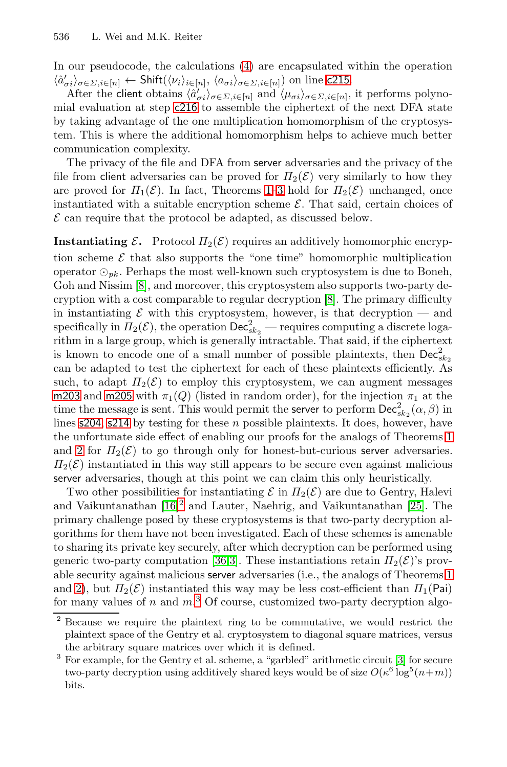In our pseudocode, the calculations (4) are encapsulated within the operation  $\langle \hat{a}'_{\sigma i} \rangle_{\sigma \in \Sigma, i \in [n]} \leftarrow \mathsf{Shift}(\langle v_i \rangle_{i \in [n]}, \langle a_{\sigma i} \rangle_{\sigma \in \Sigma, i \in [n]} )$  $\langle \hat{a}'_{\sigma i} \rangle_{\sigma \in \Sigma, i \in [n]} \leftarrow \mathsf{Shift}(\langle v_i \rangle_{i \in [n]}, \langle a_{\sigma i} \rangle_{\sigma \in \Sigma, i \in [n]} )$  $\langle \hat{a}'_{\sigma i} \rangle_{\sigma \in \Sigma, i \in [n]} \leftarrow \mathsf{Shift}(\langle v_i \rangle_{i \in [n]}, \langle a_{\sigma i} \rangle_{\sigma \in \Sigma, i \in [n]} )$  on line c215.

After the client obtains  $\langle \hat{a}'_{\sigma i} \rangle_{\sigma \in \Sigma, i \in [n]}$  and  $\langle \mu_{\sigma i} \rangle_{\sigma \in \Sigma, i \in [n]}$ , it performs polynomial evaluation at step c216 to assemble the ciphertext of the next DFA state by taking advantage of the one multiplication homomorphism of the cryptosystem. This is where the additional homomorphism helps to achieve much better communication complexity.

The privacy of the file and DFA from server adversaries and the privacy of the [fi](#page-16-12)le from client adversaries can be proved for  $\Pi_2(\mathcal{E})$  very similarly to how they are proved for  $\Pi_1(\mathcal{E})$ . In fact, The[ore](#page-16-12)ms 1–3 hold for  $\Pi_2(\mathcal{E})$  unchanged, once instantiated with a suitable encryption scheme  $\mathcal{E}$ . That said, certain choices of  $\mathcal E$  can require that the protocol be adapted, as discussed below.

**Instantiating**  $\mathcal{E}$ **.** Protocol  $\Pi_2(\mathcal{E})$  requires an additively homomorphic encryption scheme  $\mathcal E$  that also supports the "one time" homomorphic multiplication operator  $\odot_{pk}$ . Perhaps the most well-known such cryptosystem is due to Boneh, Goh and Nissim [8], and moreover, this cryptosystem also supports two-party decryption with a cost comparable to regular decryption [8]. The primary difficulty in instantiating  $\mathcal E$  with this cryptosystem, however, is that decryption — and specifically in  $\bar{H}_2(\mathcal{E})$ , the operation  $\mathsf{Dec}^2_{sk_2}$  — requires comp[utin](#page-9-1)g a discrete logarithm in a large group, which is generally intractable. That said, if the ciphertext is known to encode one of a small number of possible plaintexts, then  $\text{Dec}^2_{sk_2}$ can be adapted to test the ciphertext for each of these plaintexts efficiently. As such, to adapt  $\Pi_2(\mathcal{E})$  to employ this cryptosystem, we can augment messages m2[03](#page-16-13) [an](#page-13-0)d m205 with  $\pi_1(Q)$  (listed in random order)[, for](#page-17-12) the injection  $\pi_1$  at the time the message is sent. This would permit the server to perform  $\mathsf{Dec}^2_{sk_2}(\alpha,\beta)$  in lines  $s204$ ,  $s214$  by testing for these *n* possible plaintexts. It does, however, have the unfortunate side effect of enabling our proofs for the analogs of Theorems 1 and 2 for  $\Pi_2(\mathcal{E})$  $\Pi_2(\mathcal{E})$  $\Pi_2(\mathcal{E})$  [to](#page-16-14) go through only for honest-but-curious server adversaries.  $\Pi_2(\mathcal{E})$  instantiated in this way still appears to be secure ev[en](#page-9-1) against malicious server adversaries, though at this point we can claim this only heuristically.

<span id="page-13-1"></span><span id="page-13-0"></span>Two ot[he](#page-13-1)r possibilities for instantiating  $\mathcal E$  in  $\Pi_2(\mathcal E)$  are due to Gentry, Halevi and Vaikuntanathan [16]<sup>2</sup> and Lauter, Naehrig, and Vaikuntanathan [25]. The primary challenge posed by these cryptosystems is that two-party decryption algorithms for them have not been investigated. Each of these schemes is amenable to sharing its private key securely, after which decryption can be performed using generic two-party computation [36,3]. These insta[nti](#page-16-14)ations retain  $\Pi_2(\mathcal{E})$ 's provable security against malicious server adversaries (i.e., the analogs of Theorems 1 and 2), but  $\Pi_2(\mathcal{E})$  instantiated this way may be less cost-efficient than  $\Pi_1(\text{Pai})$ for many values of n and  $m<sup>3</sup>$  Of course, customized two-party decryption algo-

<sup>&</sup>lt;sup>2</sup> Because we require the plaintext ring to be commutative, we would restrict the plaintext space of the Gentry et al. cryptosystem to diagonal square matrices, versus the arbitrary square matrices over which it is defined.

<sup>3</sup> For example, for the Gentry et al. scheme, a "garbled" arithmetic circuit [3] for secure two-party decryption using additively shared keys would be of size  $O(\kappa^6 \log^5(n+m))$ bits.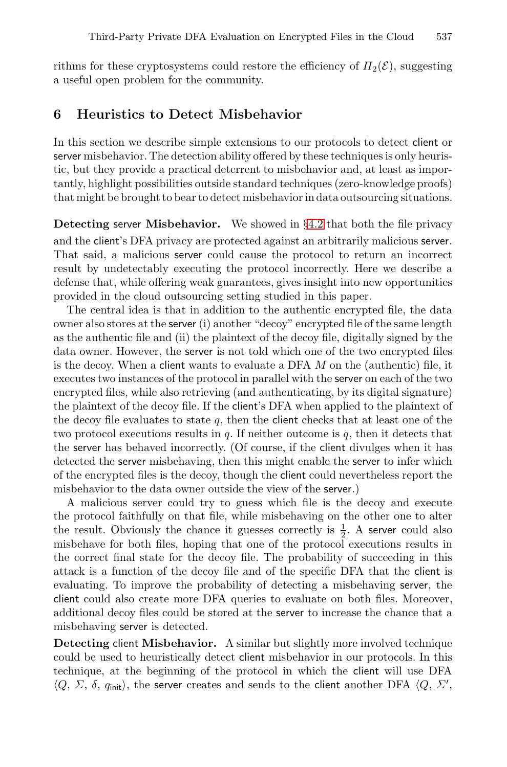<span id="page-14-0"></span>rithms for these cryptosystems could restore the efficiency of  $\Pi_2(\mathcal{E})$ , suggesting a useful open problem for the community.

# **6 Heuristics to Detect [Mi](#page-7-0)sbehavior**

In this section we describe simple extensions to our protocols to detect client or server misbehavior. The detection ability offered by these techniques is only heuristic, but they provide a practical deterrent to misbehavior and, at least as importantly, highlight possibilities outside standard techniques (zero-knowledge proofs) that might be brought to bear to detect misbehavior in data outsourcing situations.

**Detecting** server **Misbehavior.** We showed in §4.2 that both the file privacy and the client's DFA privacy are protected against an arbitrarily malicious server. That said, a malicious server could cause the protocol to return an incorrect result by undetectably executing the protocol incorrectly. Here we describe a defense that, while offering weak guarantees, gives insight into new opportunities provided in the cloud outsourcing setting studied in this paper.

The central idea is that in addition to the authentic encrypted file, the data owner also stores at the server (i) another "decoy" encrypted file of the same length as the authentic file and (ii) the plaintext of the decoy file, digitally signed by the data owner. However, the server is not told which one of the two encrypted files is the decoy. When a client wants to evaluate a DFA M on the (authentic) file, it executes two instances of the protocol in parallel with the server on each of the two encrypted files, while also retrieving (and authenticating, by its digital signature) the plaintext of the decoy file. If the client's DFA when applied to the plaintext of the decoy file evaluates to state  $q$ , then the client checks that at least one of the two protocol executions results in  $q$ . If neither outcome is  $q$ , then it detects that the server has behaved incorrectly. (Of course, if the client divulges when it has detected the server misbehaving, then this might enable the server to infer which of the encrypted files is the decoy, though the client could nevertheless report the misbehavior to the data owner outside the view of the server.)

A malicious server could try to guess which file is the decoy and execute the protocol faithfully on that file, while misbehaving on the other one to alter the result. Obviously the chance it guesses correctly is  $\frac{1}{2}$ . A server could also misbehave for both files, hoping that one of the protocol executions results in the correct final state for the decoy file. The probability of succeeding in this attack is a function of the decoy file and of the specific DFA that the client is evaluating. To improve the probability of detecting a misbehaving server, the client could also create more DFA queries to evaluate on both files. Moreover, additional decoy files could be stored at the server to increase the chance that a misbehaving server is detected.

**Detecting** client **Misbehavior.** A similar but slightly more involved technique could be used to heuristically detect client misbehavior in our protocols. In this technique, at the beginning of the protocol in which the client will use DFA  $\langle Q, \Sigma, \delta, q_{\text{init}} \rangle$ , the server creates and sends to the client another DFA  $\langle Q, \Sigma', \delta, q_{\text{init}} \rangle$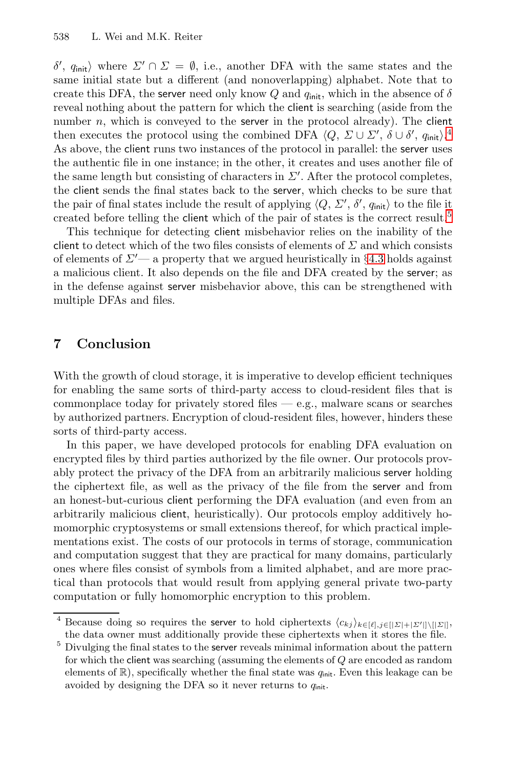δ',  $q_{\text{init}}$  where  $\Sigma' \cap \Sigma = \emptyset$ , i.e., another DFA with the same states and the same initial state but a different (and nonoverlapping) alphabet. Note that to create this DFA, the server need only know Q and  $q_{\text{init}}$ , which in the absence of  $\delta$ reveal nothing about the pattern for which the client is searc[hin](#page-15-0)g (aside from the number  $n$ , which is conveyed to the server in the protocol already). The client then executes the protocol using the combined DFA  $\langle Q, \Sigma \cup \Sigma', \delta \cup \delta', q_{\text{init}} \rangle$ <sup>4</sup> As above, the client runs two instances of the [pro](#page-9-0)tocol in parallel: the server uses the authentic file in one instance; in the other, it creates and uses another file of the same length but consisting of characters in  $\Sigma'$ . After the protocol completes, the client sends the final states back to the server, which checks to be sure that the pair of final states include the result of applying  $\langle Q, \Sigma', \delta', q_{\text{init}} \rangle$  to the file it created before telling the client which of the pair of states is the correct result.<sup>5</sup>

This technique for detecting client misbehavior relies on the inability of the client to detect which of the two files consists of elements of  $\Sigma$  and which consists of elements of  $\Sigma'$  a property that we argued heuristically in §4.3 holds against a malicious client. It also depends on the file and DFA created by the server; as in the defense against server misbehavior above, this can be strengthened with multiple DFAs and files.

# **7 Conclusion**

With the growth of cloud storage, it is imperative to develop efficient techniques for enabling the same sorts of third-party access to cloud-resident files that is commonplace today for privately stored files  $-$  e.g., malware scans or searches by authorized partners. Encryption of cloud-resident files, however, hinders these sorts of third-party access.

<span id="page-15-0"></span>In this paper, we have developed protocols for enabling DFA evaluation on encrypted files by third parties authorized by the file owner. Our protocols provably protect the privacy of the DFA from an arbitrarily malicious server holding the ciphertext file, as well as the privacy of the file from the server and from an honest-but-curious client performing the DFA evaluation (and even from an arbitrarily malicious client, heuristically). Our protocols employ additively homomorphic cryptosystems or small extensions thereof, for which practical implementations exist. The costs of our protocols in terms of storage, communication and computation suggest that they are practical for many domains, particularly ones where files consist of symbols from a limited alphabet, and are more practical than protocols that would result from applying general private two-party computation or fully homomorphic encryption to this problem.

<sup>&</sup>lt;sup>4</sup> Because doing so requires the server to hold ciphertexts  $\langle c_{kj} \rangle_{k \in [\ell], j \in [|\Sigma| + |\Sigma'|] \setminus [|\Sigma|]}$ the data owner must additionally provide these ciphertexts when it stores the file.

 $5$  Divulging the final states to the server reveals minimal information about the pattern for which the client was searching (assuming the elements of Q are encoded as random elements of  $\mathbb{R}$ ), specifically whether the final state was  $q_{\text{init}}$ . Even this leakage can be avoided by designing the DFA so it never returns to  $q_{init}$ .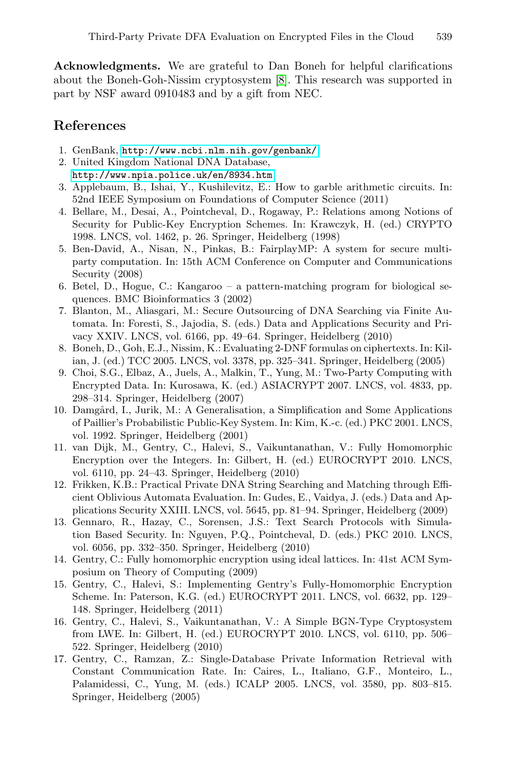<span id="page-16-14"></span><span id="page-16-11"></span><span id="page-16-5"></span><span id="page-16-2"></span><span id="page-16-1"></span><span id="page-16-0"></span>**[Acknowledgments.](http://www.npia.police.uk/en/8934.htm)** We are grateful to Dan Boneh for helpful clarifications about the Boneh-Goh-Nissim cryptosystem [8]. This research was supported in part by NSF award 0910483 and by a gift from NEC.

# <span id="page-16-12"></span><span id="page-16-7"></span>**References**

- 1. GenBank, http://www.ncbi.nlm.nih.gov/genbank/
- <span id="page-16-8"></span>2. United Kingdom National DNA Database,
- http://www.npia.police.uk/en/8934.htm
- <span id="page-16-10"></span>3. Applebaum, B., Ishai, Y., Kushilevitz, E.: How to garble arithmetic circuits. In: 52nd IEEE Symposium on Foundations of Computer Science (2011)
- 4. Bellare, M., Desai, A., Pointcheval, D., Rogaway, P.: Relations among Notions of Security for Public-Key Encryption Schemes. In: Krawczyk, H. (ed.) CRYPTO 1998. LNCS, vol. 1462, p. 26. Springer, Heidelberg (1998)
- <span id="page-16-4"></span>5. Ben-David, A., Nisan, N., Pinkas, B.: FairplayMP: A system for secure multiparty computation. In: 15th ACM Conference on Computer and Communications Security (2008)
- <span id="page-16-6"></span>6. Betel, D., Hogue, C.: Kangaroo – a pattern-matching program for biological sequences. BMC Bioinformatics 3 (2002)
- 7. Blanton, M., Aliasgari, M.: Secure Outsourcing of DNA Searching via Finite Automata. In: Foresti, S., Jajodia, S. (eds.) Data and Applications Security and Privacy XXIV. LNCS, vol. 6166, pp. 49–64. Springer, Heidelberg (2010)
- <span id="page-16-3"></span>8. Boneh, D., Goh, E.J., Nissim, K.: Evaluating 2-DNF formulas on ciphertexts. In: Kilian, J. (ed.) TCC 2005. LNCS, vol. 3378, pp. 325–341. Springer, Heidelberg (2005)
- 9. Choi, S.G., Elbaz, A., Juels, A., Malkin, T., Yung, M.: Two-Party Computing with Encrypted Data. In: Kurosawa, K. (ed.) ASIACRYPT 2007. LNCS, vol. 4833, pp. 298–314. Springer, Heidelberg (2007)
- <span id="page-16-13"></span>10. Damgård, I., Jurik, M.: A Generalisation, a Simplification and Some Applications of Paillier's Probabilistic Public-Key System. In: Kim, K.-c. (ed.) PKC 2001. LNCS, vol. 1992. Springer, Heidelberg (2001)
- <span id="page-16-9"></span>11. van Dijk, M., Gentry, C., Halevi, S., Vaikuntanathan, V.: Fully Homomorphic Encryption over the Integers. In: Gilbert, H. (ed.) EUROCRYPT 2010. LNCS, vol. 6110, pp. 24–43. Springer, Heidelberg (2010)
- 12. Frikken, K.B.: Practical Private DNA String Searching and Matching through Efficient Oblivious Automata Evaluation. In: Gudes, E., Vaidya, J. (eds.) Data and Applications Security XXIII. LNCS, vol. 5645, pp. 81–94. Springer, Heidelberg (2009)
- 13. Gennaro, R., Hazay, C., Sorensen, J.S.: Text Search Protocols with Simulation Based Security. In: Nguyen, P.Q., Pointcheval, D. (eds.) PKC 2010. LNCS, vol. 6056, pp. 332–350. Springer, Heidelberg (2010)
- 14. Gentry, C.: Fully homomorphic encryption using ideal lattices. In: 41st ACM Symposium on Theory of Computing (2009)
- 15. Gentry, C., Halevi, S.: Implementing Gentry's Fully-Homomorphic Encryption Scheme. In: Paterson, K.G. (ed.) EUROCRYPT 2011. LNCS, vol. 6632, pp. 129– 148. Springer, Heidelberg (2011)
- 16. Gentry, C., Halevi, S., Vaikuntanathan, V.: A Simple BGN-Type Cryptosystem from LWE. In: Gilbert, H. (ed.) EUROCRYPT 2010. LNCS, vol. 6110, pp. 506– 522. Springer, Heidelberg (2010)
- 17. Gentry, C., Ramzan, Z.: Single-Database Private Information Retrieval with Constant Communication Rate. In: Caires, L., Italiano, G.F., Monteiro, L., Palamidessi, C., Yung, M. (eds.) ICALP 2005. LNCS, vol. 3580, pp. 803–815. Springer, Heidelberg (2005)